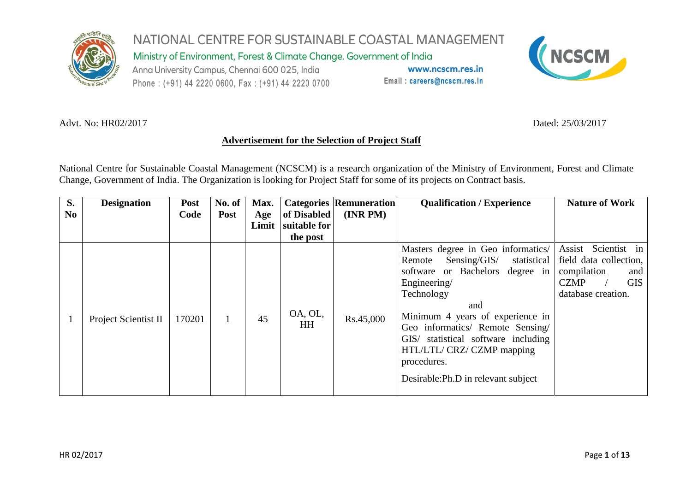

NATIONAL CENTRE FOR SUSTAINABLE COASTAL MANAGEMENT Ministry of Environment, Forest & Climate Change. Government of India Anna University Campus, Chennai 600 025, India www.ncscm.res.in Email: careers@ncscm.res.in Phone: (+91) 44 2220 0600, Fax: (+91) 44 2220 0700



#### Advt. No: HR02/2017 **Dated: 25/03/2017**

## **Advertisement for the Selection of Project Staff**

National Centre for Sustainable Coastal Management (NCSCM) is a research organization of the Ministry of Environment, Forest and Climate Change, Government of India. The Organization is looking for Project Staff for some of its projects on Contract basis.

| S.<br>N <sub>0</sub> | <b>Designation</b>   | <b>Post</b><br>Code | No. of<br><b>Post</b> | Max.<br>Age<br>Limit | of Disabled<br>suitable for<br>the post | <b>Categories Remuneration</b><br>(INR PM) | <b>Qualification / Experience</b>                                                                                                                                                                                                                                                                                                                         | <b>Nature of Work</b>                                                                                                  |
|----------------------|----------------------|---------------------|-----------------------|----------------------|-----------------------------------------|--------------------------------------------|-----------------------------------------------------------------------------------------------------------------------------------------------------------------------------------------------------------------------------------------------------------------------------------------------------------------------------------------------------------|------------------------------------------------------------------------------------------------------------------------|
|                      | Project Scientist II | 170201              |                       | 45                   | OA, OL,<br><b>HH</b>                    | Rs.45,000                                  | Masters degree in Geo informatics/<br>statistical<br>Sensing/GIS/<br>Remote<br>or Bachelors degree in<br>software<br>Engineering/<br>Technology<br>and<br>Minimum 4 years of experience in<br>Geo informatics/ Remote Sensing/<br>GIS/ statistical software including<br>HTL/LTL/ CRZ/ CZMP mapping<br>procedures.<br>Desirable: Ph.D in relevant subject | Assist Scientist in<br>field data collection,<br>compilation<br>and<br><b>GIS</b><br><b>CZMP</b><br>database creation. |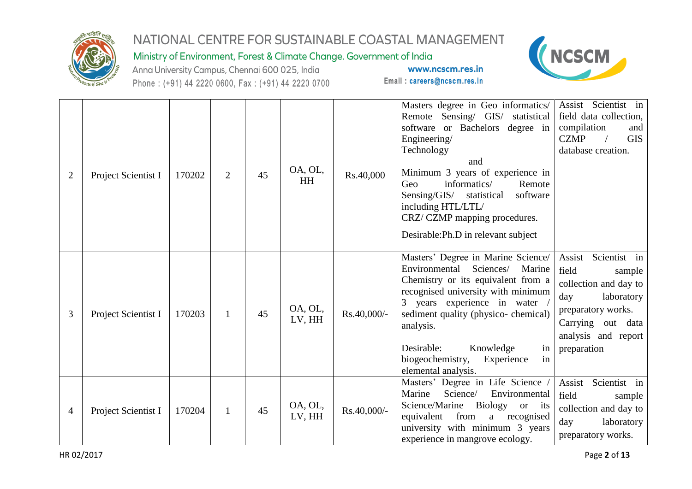

Ministry of Environment, Forest & Climate Change. Government of India

Anna University Campus, Chennai 600 025, India Phone: (+91) 44 2220 0600, Fax: (+91) 44 2220 0700



| $\overline{2}$ | Project Scientist I | 170202 | $\overline{2}$ | 45 | OA, OL,<br>HH     | Rs.40,000   | Masters degree in Geo informatics/<br>Remote Sensing/ GIS/ statistical<br>software or Bachelors degree in<br>Engineering/<br>Technology<br>and<br>Minimum 3 years of experience in<br>informatics/<br>Geo<br>Remote<br>Sensing/GIS/<br>software<br>statistical<br>including HTL/LTL/<br>CRZ/CZMP mapping procedures.<br>Desirable: Ph.D in relevant subject | Assist Scientist in<br>field data collection,<br>compilation<br>and<br><b>CZMP</b><br><b>GIS</b><br>database creation.                                                         |
|----------------|---------------------|--------|----------------|----|-------------------|-------------|-------------------------------------------------------------------------------------------------------------------------------------------------------------------------------------------------------------------------------------------------------------------------------------------------------------------------------------------------------------|--------------------------------------------------------------------------------------------------------------------------------------------------------------------------------|
| 3              | Project Scientist I | 170203 | $\mathbf{1}$   | 45 | OA, OL,<br>LV, HH | Rs.40,000/- | Masters' Degree in Marine Science/<br>Environmental<br>Sciences/<br>Marine<br>Chemistry or its equivalent from a<br>recognised university with minimum<br>3 years experience in water<br>sediment quality (physico- chemical)<br>analysis.<br>Desirable:<br>Knowledge<br>in<br>biogeochemistry,<br>Experience<br>in<br>elemental analysis.                  | Scientist in<br>Assist<br>field<br>sample<br>collection and day to<br>laboratory<br>day<br>preparatory works.<br>Carrying<br>data<br>out<br>analysis and report<br>preparation |
| 4              | Project Scientist I | 170204 | $\mathbf{1}$   | 45 | OA, OL,<br>LV, HH | Rs.40,000/- | Masters' Degree in Life Science<br>Marine<br>Science/<br>Environmental<br>Science/Marine<br>Biology<br>its<br><b>or</b><br>from<br>equivalent<br>recognised<br>a<br>university with minimum 3 years<br>experience in mangrove ecology.                                                                                                                      | Scientist in<br>Assist<br>field<br>sample<br>collection and day to<br>laboratory<br>day<br>preparatory works.                                                                  |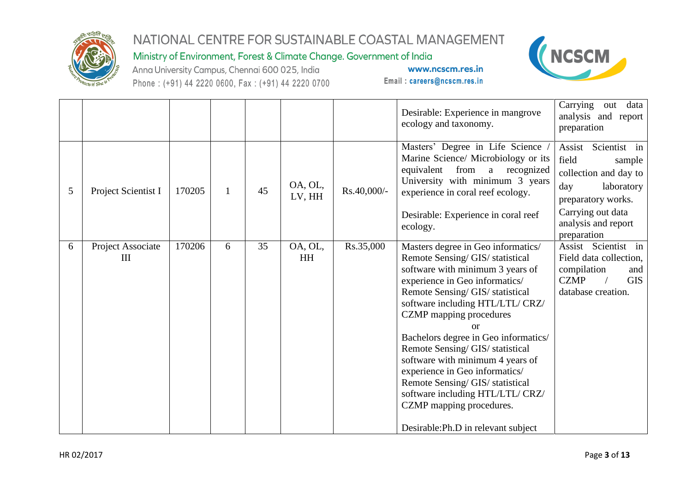

## Ministry of Environment, Forest & Climate Change. Government of India

Anna University Campus, Chennai 600 025, India Phone: (+91) 44 2220 0600, Fax: (+91) 44 2220 0700



|   |                        |        |              |    |                   |             | Desirable: Experience in mangrove<br>ecology and taxonomy.                                                                                                                                                                                                                                                                                                                                                                                                                                                                                                | Carrying out data<br>analysis and report<br>preparation                                                                                                   |
|---|------------------------|--------|--------------|----|-------------------|-------------|-----------------------------------------------------------------------------------------------------------------------------------------------------------------------------------------------------------------------------------------------------------------------------------------------------------------------------------------------------------------------------------------------------------------------------------------------------------------------------------------------------------------------------------------------------------|-----------------------------------------------------------------------------------------------------------------------------------------------------------|
| 5 | Project Scientist I    | 170205 | $\mathbf{1}$ | 45 | OA, OL,<br>LV, HH | Rs.40,000/- | Masters' Degree in Life Science<br>Marine Science/ Microbiology or its<br>from<br>equivalent<br>a recognized<br>University with minimum 3 years<br>experience in coral reef ecology.<br>Desirable: Experience in coral reef<br>ecology.                                                                                                                                                                                                                                                                                                                   | Assist<br>Scientist in<br>field<br>sample<br>collection and day to<br>day<br>laboratory<br>preparatory works.<br>Carrying out data<br>analysis and report |
| 6 | Project Associate<br>Ш | 170206 | 6            | 35 | OA, OL,<br>HH     | Rs.35,000   | Masters degree in Geo informatics/<br>Remote Sensing/ GIS/ statistical<br>software with minimum 3 years of<br>experience in Geo informatics/<br>Remote Sensing/ GIS/ statistical<br>software including HTL/LTL/ CRZ/<br><b>CZMP</b> mapping procedures<br>or<br>Bachelors degree in Geo informatics/<br>Remote Sensing/ GIS/ statistical<br>software with minimum 4 years of<br>experience in Geo informatics/<br>Remote Sensing/ GIS/ statistical<br>software including HTL/LTL/ CRZ/<br>CZMP mapping procedures.<br>Desirable: Ph.D in relevant subject | preparation<br>Assist Scientist in<br>Field data collection,<br>compilation<br>and<br><b>CZMP</b><br><b>GIS</b><br>database creation.                     |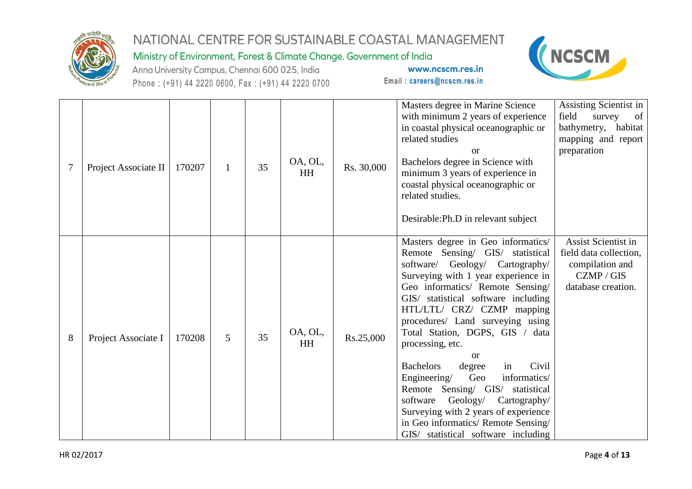

Ministry of Environment, Forest & Climate Change. Government of India

Anna University Campus, Chennai 600 025, India Phone: (+91) 44 2220 0600, Fax: (+91) 44 2220 0700



|   | Project Associate II | 170207 | $\mathbf{1}$ | 35 | OA, OL,<br>HH | Rs. 30,000 | Masters degree in Marine Science<br>with minimum 2 years of experience<br>in coastal physical oceanographic or<br>related studies<br><b>or</b><br>Bachelors degree in Science with<br>minimum 3 years of experience in<br>coastal physical oceanographic or<br>related studies.<br>Desirable: Ph.D in relevant subject                                                                                                                                                                                                                                                                                                                           | Assisting Scientist in<br>field<br>survey<br>- of<br>bathymetry, habitat<br>mapping and report<br>preparation |
|---|----------------------|--------|--------------|----|---------------|------------|--------------------------------------------------------------------------------------------------------------------------------------------------------------------------------------------------------------------------------------------------------------------------------------------------------------------------------------------------------------------------------------------------------------------------------------------------------------------------------------------------------------------------------------------------------------------------------------------------------------------------------------------------|---------------------------------------------------------------------------------------------------------------|
| 8 | Project Associate I  | 170208 | 5            | 35 | OA, OL,<br>HH | Rs.25,000  | Masters degree in Geo informatics/<br>Remote Sensing/ GIS/ statistical<br>software/ Geology/ Cartography/<br>Surveying with 1 year experience in<br>Geo informatics/ Remote Sensing/<br>GIS/ statistical software including<br>HTL/LTL/ CRZ/ CZMP mapping<br>procedures/ Land surveying using<br>Total Station, DGPS, GIS / data<br>processing, etc.<br>or<br>Civil<br><b>Bachelors</b><br>degree<br>in<br>informatics/<br>Geo<br>Engineering/<br>Remote Sensing/ GIS/ statistical<br>Geology/<br>software<br>Cartography/<br>Surveying with 2 years of experience<br>in Geo informatics/ Remote Sensing/<br>GIS/ statistical software including | Assist Scientist in<br>field data collection,<br>compilation and<br>CZMP / GIS<br>database creation.          |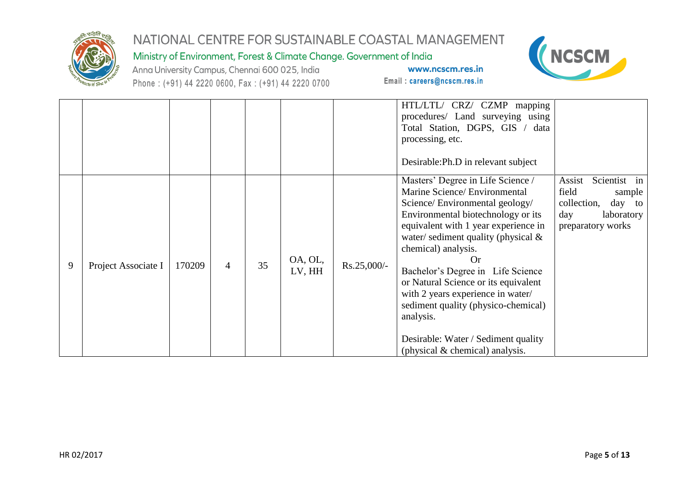

Ministry of Environment, Forest & Climate Change. Government of India

Anna University Campus, Chennai 600 025, India Phone: (+91) 44 2220 0600, Fax: (+91) 44 2220 0700



|   |                     |        |                |    |                   |               | HTL/LTL/ CRZ/ CZMP mapping<br>procedures/ Land surveying using<br>Total Station, DGPS, GIS / data<br>processing, etc.<br>Desirable: Ph.D in relevant subject                                                                                                                                                                                                                                                                                                                                               |                                                                                                              |
|---|---------------------|--------|----------------|----|-------------------|---------------|------------------------------------------------------------------------------------------------------------------------------------------------------------------------------------------------------------------------------------------------------------------------------------------------------------------------------------------------------------------------------------------------------------------------------------------------------------------------------------------------------------|--------------------------------------------------------------------------------------------------------------|
| 9 | Project Associate I | 170209 | $\overline{4}$ | 35 | OA, OL,<br>LV, HH | $Rs.25,000/-$ | Masters' Degree in Life Science /<br>Marine Science/ Environmental<br>Science/Environmental geology/<br>Environmental biotechnology or its<br>equivalent with 1 year experience in<br>water/sediment quality (physical $\&$<br>chemical) analysis.<br>Or<br>Bachelor's Degree in Life Science<br>or Natural Science or its equivalent<br>with 2 years experience in water/<br>sediment quality (physico-chemical)<br>analysis.<br>Desirable: Water / Sediment quality<br>(physical $&$ chemical) analysis. | Scientist in<br>Assist<br>field<br>sample<br>collection,<br>day to<br>laboratory<br>day<br>preparatory works |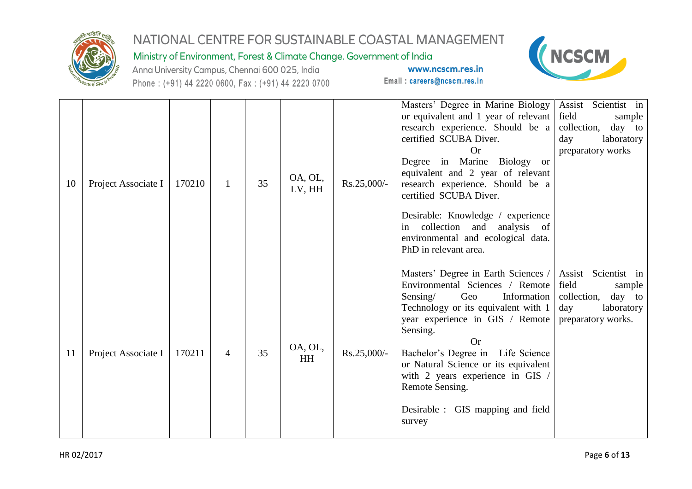

## Ministry of Environment, Forest & Climate Change. Government of India

Anna University Campus, Chennai 600 025, India Phone: (+91) 44 2220 0600, Fax: (+91) 44 2220 0700



| 10 | Project Associate I | 170210 | 1              | 35 | OA, OL,<br>LV, HH | Rs.25,000/-   | Masters' Degree in Marine Biology<br>or equivalent and 1 year of relevant<br>research experience. Should be a<br>certified SCUBA Diver.<br>Or<br>Degree in Marine Biology or<br>equivalent and 2 year of relevant<br>research experience. Should be a<br>certified SCUBA Diver.<br>Desirable: Knowledge / experience<br>collection<br>and<br>analysis of<br>in<br>environmental and ecological data.<br>PhD in relevant area. | Assist Scientist in<br>field<br>sample<br>collection,<br>day to<br>laboratory<br>day<br>preparatory works  |
|----|---------------------|--------|----------------|----|-------------------|---------------|-------------------------------------------------------------------------------------------------------------------------------------------------------------------------------------------------------------------------------------------------------------------------------------------------------------------------------------------------------------------------------------------------------------------------------|------------------------------------------------------------------------------------------------------------|
| 11 | Project Associate I | 170211 | $\overline{4}$ | 35 | OA, OL,<br>HH     | $Rs.25,000/-$ | Masters' Degree in Earth Sciences<br>Environmental Sciences / Remote<br>Sensing/<br>Geo<br>Information<br>Technology or its equivalent with 1<br>year experience in GIS / Remote<br>Sensing.<br>Or<br>Bachelor's Degree in Life Science<br>or Natural Science or its equivalent<br>with 2 years experience in GIS /<br>Remote Sensing.<br>Desirable : GIS mapping and field<br>survey                                         | Assist Scientist in<br>field<br>sample<br>collection,<br>day to<br>day<br>laboratory<br>preparatory works. |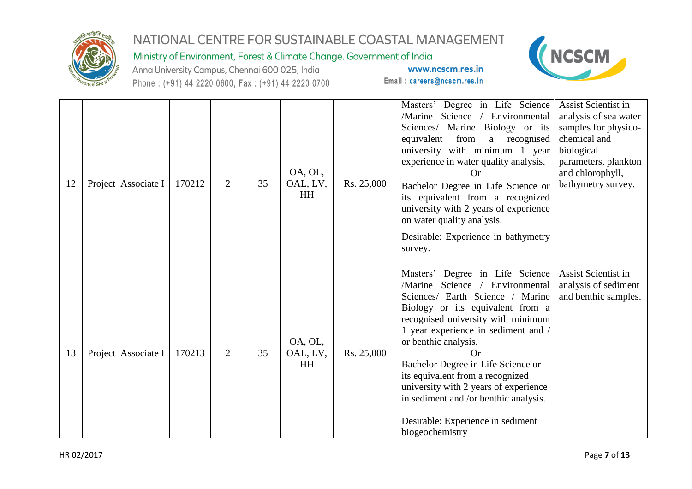

## Ministry of Environment, Forest & Climate Change. Government of India

Anna University Campus, Chennai 600 025, India Phone: (+91) 44 2220 0600, Fax: (+91) 44 2220 0700



| 12 | Project Associate I | 170212 | $\overline{2}$ | 35 | OA, OL,<br>OAL, LV,<br>HH | Rs. 25,000 | Masters' Degree in Life Science<br>/Marine<br>Science / Environmental<br>Sciences/ Marine Biology or its<br>equivalent<br>from<br>a recognised<br>university with minimum 1 year<br>experience in water quality analysis.<br>$\Omega$ r<br>Bachelor Degree in Life Science or<br>its equivalent from a recognized<br>university with 2 years of experience<br>on water quality analysis.<br>Desirable: Experience in bathymetry<br>survey.                                      | <b>Assist Scientist in</b><br>analysis of sea water<br>samples for physico-<br>chemical and<br>biological<br>parameters, plankton<br>and chlorophyll,<br>bathymetry survey. |
|----|---------------------|--------|----------------|----|---------------------------|------------|---------------------------------------------------------------------------------------------------------------------------------------------------------------------------------------------------------------------------------------------------------------------------------------------------------------------------------------------------------------------------------------------------------------------------------------------------------------------------------|-----------------------------------------------------------------------------------------------------------------------------------------------------------------------------|
| 13 | Project Associate I | 170213 | $\overline{2}$ | 35 | OA, OL,<br>OAL, LV,<br>HH | Rs. 25,000 | Degree in Life Science<br>Masters'<br>Science / Environmental<br>/Marine<br>Sciences/ Earth Science / Marine<br>Biology or its equivalent from a<br>recognised university with minimum<br>1 year experience in sediment and /<br>or benthic analysis.<br>Or<br>Bachelor Degree in Life Science or<br>its equivalent from a recognized<br>university with 2 years of experience<br>in sediment and /or benthic analysis.<br>Desirable: Experience in sediment<br>biogeochemistry | Assist Scientist in<br>analysis of sediment<br>and benthic samples.                                                                                                         |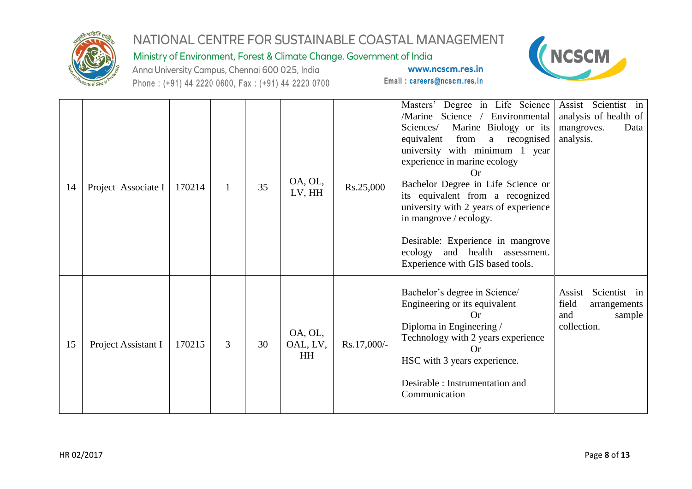

## Ministry of Environment, Forest & Climate Change. Government of India

Anna University Campus, Chennai 600 025, India Phone: (+91) 44 2220 0600, Fax: (+91) 44 2220 0700



| 14 | Project Associate I | 170214 | $\mathbf{1}$ | 35 | OA, OL,<br>LV, HH                | Rs.25,000   | Masters' Degree in Life Science<br>/Marine Science /<br>Environmental<br>Marine Biology or its<br>Sciences/<br>from<br>equivalent<br>a recognised<br>university with minimum 1 year<br>experience in marine ecology<br>Bachelor Degree in Life Science or<br>its equivalent from a recognized<br>university with 2 years of experience<br>in mangrove / ecology.<br>Desirable: Experience in mangrove<br>and health<br>ecology<br>assessment.<br>Experience with GIS based tools. | Assist Scientist in<br>analysis of health of<br>Data<br>mangroves.<br>analysis. |
|----|---------------------|--------|--------------|----|----------------------------------|-------------|-----------------------------------------------------------------------------------------------------------------------------------------------------------------------------------------------------------------------------------------------------------------------------------------------------------------------------------------------------------------------------------------------------------------------------------------------------------------------------------|---------------------------------------------------------------------------------|
| 15 | Project Assistant I | 170215 | 3            | 30 | OA, OL,<br>OAL, LV,<br><b>HH</b> | Rs.17,000/- | Bachelor's degree in Science/<br>Scientist in<br>Assist<br>Engineering or its equivalent<br>field<br>arrangements<br><b>Or</b><br>and<br>Diploma in Engineering /<br>collection.<br>Technology with 2 years experience<br>Or<br>HSC with 3 years experience.<br>Desirable : Instrumentation and<br>Communication                                                                                                                                                                  |                                                                                 |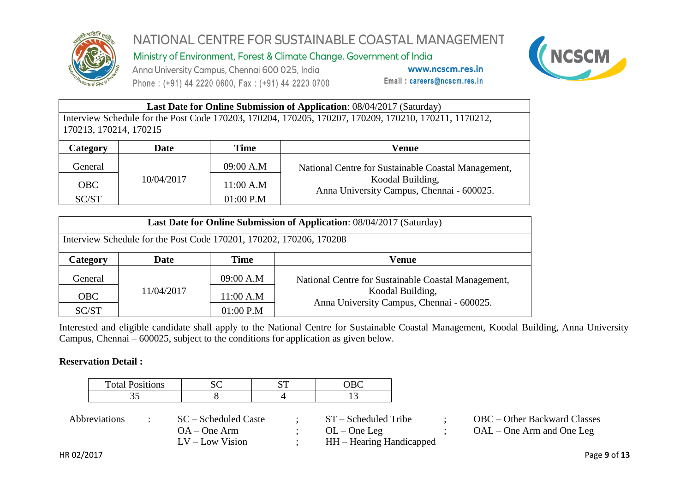

Ministry of Environment, Forest & Climate Change. Government of India

Anna University Campus, Chennai 600 025, India Phone: (+91) 44 2220 0600, Fax: (+91) 44 2220 0700

www.ncscm.res.in Email: careers@ncscm.res.in



|                                                                                                       | <b>Last Date for Online Submission of Application: 08/04/2017 (Saturday)</b> |             |       |  |  |  |  |  |  |
|-------------------------------------------------------------------------------------------------------|------------------------------------------------------------------------------|-------------|-------|--|--|--|--|--|--|
| Interview Schedule for the Post Code 170203, 170204, 170205, 170207, 170209, 170210, 170211, 1170212, |                                                                              |             |       |  |  |  |  |  |  |
| 170213, 170214, 170215                                                                                |                                                                              |             |       |  |  |  |  |  |  |
| Category                                                                                              | Date                                                                         | <b>Time</b> | Venue |  |  |  |  |  |  |
|                                                                                                       |                                                                              |             |       |  |  |  |  |  |  |

| General    | 10/04/2017 | 09:00 A.M   | National Centre for Sustainable Coastal Management,           |
|------------|------------|-------------|---------------------------------------------------------------|
| <b>OBC</b> |            | 11:00 A.M   | Koodal Building,<br>Anna University Campus, Chennai - 600025. |
| SC/ST      |            | $01:00$ P.M |                                                               |

| Last Date for Online Submission of Application: 08/04/2017 (Saturday) |             |             |                                                               |  |  |  |  |  |
|-----------------------------------------------------------------------|-------------|-------------|---------------------------------------------------------------|--|--|--|--|--|
| Interview Schedule for the Post Code 170201, 170202, 170206, 170208   |             |             |                                                               |  |  |  |  |  |
| Category                                                              | <b>Date</b> | Time        | Venue                                                         |  |  |  |  |  |
| General                                                               | 11/04/2017  | 09:00 A.M   | National Centre for Sustainable Coastal Management,           |  |  |  |  |  |
| <b>OBC</b>                                                            |             | 11:00 A.M   | Koodal Building,<br>Anna University Campus, Chennai - 600025. |  |  |  |  |  |
| SC/ST                                                                 |             | $01:00$ P.M |                                                               |  |  |  |  |  |

Interested and eligible candidate shall apply to the National Centre for Sustainable Coastal Management, Koodal Building, Anna University Campus, Chennai – 600025, subject to the conditions for application as given below.

#### **Reservation Detail :**

| <b>Total Positions</b> | ັ |  |
|------------------------|---|--|
| ັ                      |   |  |

| <i>Abbreviations</i> | SC – Scheduled Caste | $ST - S$ cheduled Tribe  | OBC – Other Backward Classes |
|----------------------|----------------------|--------------------------|------------------------------|
|                      | $OA - One Arm$       | $OL$ – One Leg           | $OAL - One$ Arm and One Leg  |
|                      | $LV - Low Vision$    | HH – Hearing Handicapped |                              |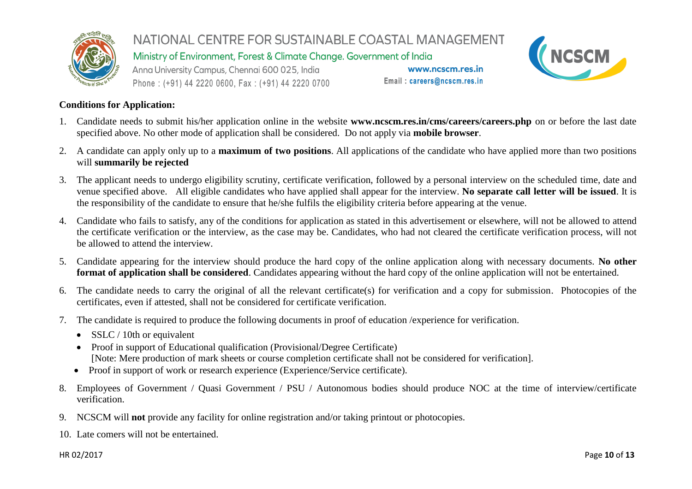

Ministry of Environment, Forest & Climate Change. Government of India

Anna University Campus, Chennai 600 025, India Phone: (+91) 44 2220 0600, Fax: (+91) 44 2220 0700

www.ncscm.res.in Email: careers@ncscm.res.in



#### **Conditions for Application:**

- 1. Candidate needs to submit his/her application online in the website **www.ncscm.res.in/cms/careers/careers.php** on or before the last date specified above. No other mode of application shall be considered. Do not apply via **mobile browser**.
- 2. A candidate can apply only up to a **maximum of two positions**. All applications of the candidate who have applied more than two positions will **summarily be rejected**
- 3. The applicant needs to undergo eligibility scrutiny, certificate verification, followed by a personal interview on the scheduled time, date and venue specified above. All eligible candidates who have applied shall appear for the interview. **No separate call letter will be issued**. It is the responsibility of the candidate to ensure that he/she fulfils the eligibility criteria before appearing at the venue.
- 4. Candidate who fails to satisfy, any of the conditions for application as stated in this advertisement or elsewhere, will not be allowed to attend the certificate verification or the interview, as the case may be. Candidates, who had not cleared the certificate verification process, will not be allowed to attend the interview.
- 5. Candidate appearing for the interview should produce the hard copy of the online application along with necessary documents. **No other format of application shall be considered**. Candidates appearing without the hard copy of the online application will not be entertained.
- 6. The candidate needs to carry the original of all the relevant certificate(s) for verification and a copy for submission. Photocopies of the certificates, even if attested, shall not be considered for certificate verification.
- 7. The candidate is required to produce the following documents in proof of education /experience for verification.
	- $\bullet$  SSLC / 10th or equivalent
	- Proof in support of Educational qualification (Provisional/Degree Certificate) [Note: Mere production of mark sheets or course completion certificate shall not be considered for verification].
	- Proof in support of work or research experience (Experience/Service certificate).
- 8. Employees of Government / Quasi Government / PSU / Autonomous bodies should produce NOC at the time of interview/certificate verification.
- 9. NCSCM will **not** provide any facility for online registration and/or taking printout or photocopies.
- 10. Late comers will not be entertained.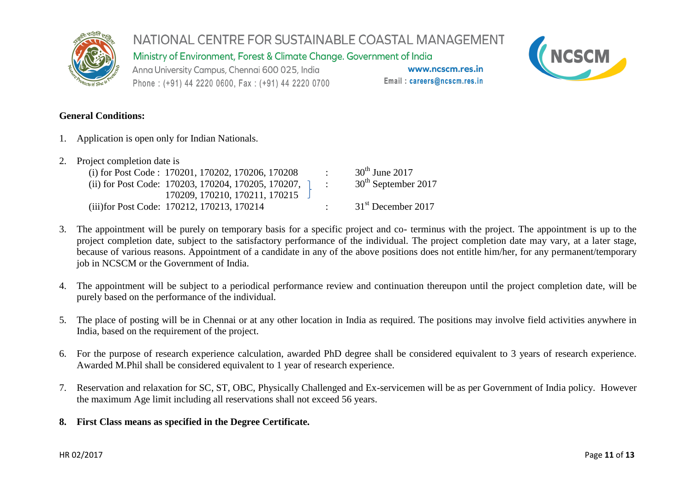

Ministry of Environment, Forest & Climate Change. Government of India

Anna University Campus, Chennai 600 025, India Phone: (+91) 44 2220 0600, Fax: (+91) 44 2220 0700

www.ncscm.res.in Email: careers@ncscm.res.in



#### **General Conditions:**

1. Application is open only for Indian Nationals.

| 2. Project completion date is               |                                                               |  |                 |                                 |  |  |  |  |
|---------------------------------------------|---------------------------------------------------------------|--|-----------------|---------------------------------|--|--|--|--|
|                                             | (i) for Post Code : $170201$ , $170202$ , $170206$ , $170208$ |  | <b>Contract</b> | $30th$ June 2017                |  |  |  |  |
|                                             | (ii) for Post Code: 170203, 170204, 170205, 170207,           |  | $\mathcal{L}$   | 30 <sup>th</sup> September 2017 |  |  |  |  |
|                                             | 170209, 170210, 170211, 170215                                |  |                 |                                 |  |  |  |  |
| (iii) for Post Code: 170212, 170213, 170214 |                                                               |  |                 | 31 <sup>st</sup> December 2017  |  |  |  |  |

- 3. The appointment will be purely on temporary basis for a specific project and co- terminus with the project. The appointment is up to the project completion date, subject to the satisfactory performance of the individual. The project completion date may vary, at a later stage, because of various reasons. Appointment of a candidate in any of the above positions does not entitle him/her, for any permanent/temporary job in NCSCM or the Government of India.
- 4. The appointment will be subject to a periodical performance review and continuation thereupon until the project completion date, will be purely based on the performance of the individual.
- 5. The place of posting will be in Chennai or at any other location in India as required. The positions may involve field activities anywhere in India, based on the requirement of the project.
- 6. For the purpose of research experience calculation, awarded PhD degree shall be considered equivalent to 3 years of research experience. Awarded M.Phil shall be considered equivalent to 1 year of research experience.
- 7. Reservation and relaxation for SC, ST, OBC, Physically Challenged and Ex-servicemen will be as per Government of India policy. However the maximum Age limit including all reservations shall not exceed 56 years.
- **8. First Class means as specified in the Degree Certificate.**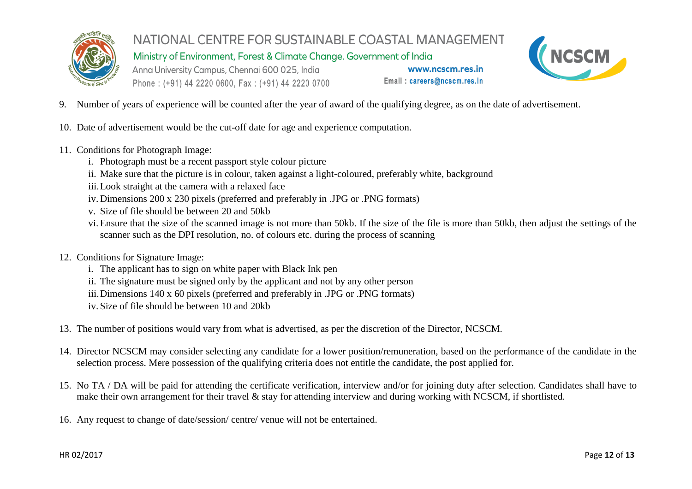

Ministry of Environment, Forest & Climate Change. Government of India

Anna University Campus, Chennai 600 025, India Phone: (+91) 44 2220 0600, Fax: (+91) 44 2220 0700



- 9. Number of years of experience will be counted after the year of award of the qualifying degree, as on the date of advertisement.
- 10. Date of advertisement would be the cut-off date for age and experience computation.
- 11. Conditions for Photograph Image:
	- i. Photograph must be a recent passport style colour picture
	- ii. Make sure that the picture is in colour, taken against a light-coloured, preferably white, background
	- iii.Look straight at the camera with a relaxed face
	- iv. Dimensions 200 x 230 pixels (preferred and preferably in .JPG or .PNG formats)
	- v. Size of file should be between 20 and 50kb
	- vi. Ensure that the size of the scanned image is not more than 50kb. If the size of the file is more than 50kb, then adjust the settings of the scanner such as the DPI resolution, no. of colours etc. during the process of scanning
- 12. Conditions for Signature Image:
	- i. The applicant has to sign on white paper with Black Ink pen
	- ii. The signature must be signed only by the applicant and not by any other person
	- iii.Dimensions 140 x 60 pixels (preferred and preferably in .JPG or .PNG formats)
	- iv. Size of file should be between 10 and 20kb
- 13. The number of positions would vary from what is advertised, as per the discretion of the Director, NCSCM.
- 14. Director NCSCM may consider selecting any candidate for a lower position/remuneration, based on the performance of the candidate in the selection process. Mere possession of the qualifying criteria does not entitle the candidate, the post applied for.
- 15. No TA / DA will be paid for attending the certificate verification, interview and/or for joining duty after selection. Candidates shall have to make their own arrangement for their travel & stay for attending interview and during working with NCSCM, if shortlisted.
- 16. Any request to change of date/session/ centre/ venue will not be entertained.